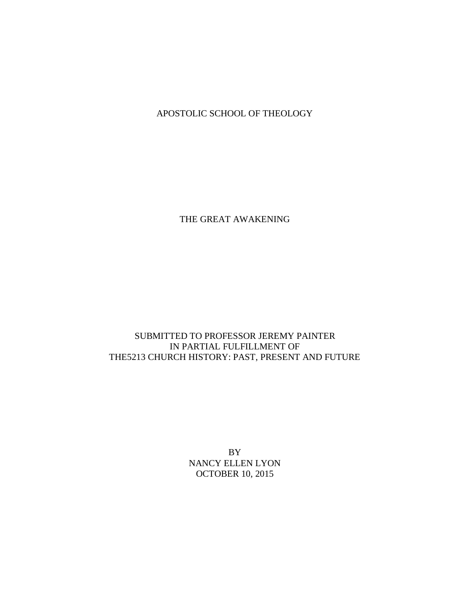APOSTOLIC SCHOOL OF THEOLOGY

THE GREAT AWAKENING

# SUBMITTED TO PROFESSOR JEREMY PAINTER IN PARTIAL FULFILLMENT OF THE5213 CHURCH HISTORY: PAST, PRESENT AND FUTURE

BY NANCY ELLEN LYON OCTOBER 10, 2015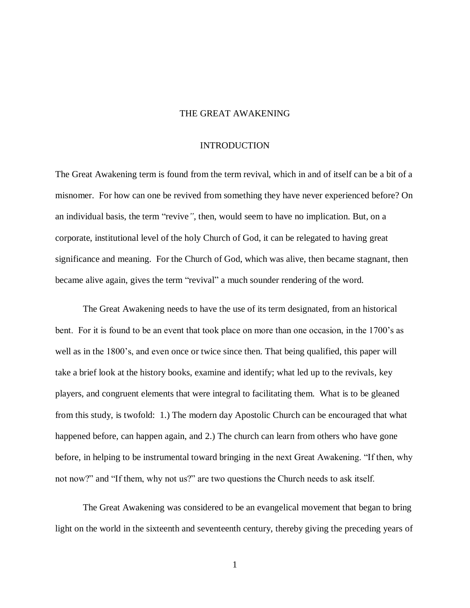# THE GREAT AWAKENING

## INTRODUCTION

The Great Awakening term is found from the term revival, which in and of itself can be a bit of a misnomer. For how can one be revived from something they have never experienced before? On an individual basis, the term "revive*",* then, would seem to have no implication. But, on a corporate, institutional level of the holy Church of God, it can be relegated to having great significance and meaning. For the Church of God, which was alive, then became stagnant, then became alive again, gives the term "revival" a much sounder rendering of the word.

The Great Awakening needs to have the use of its term designated, from an historical bent. For it is found to be an event that took place on more than one occasion, in the 1700's as well as in the 1800's, and even once or twice since then. That being qualified, this paper will take a brief look at the history books, examine and identify; what led up to the revivals, key players, and congruent elements that were integral to facilitating them. What is to be gleaned from this study, is twofold: 1.) The modern day Apostolic Church can be encouraged that what happened before, can happen again, and 2.) The church can learn from others who have gone before, in helping to be instrumental toward bringing in the next Great Awakening. "If then, why not now?" and "If them, why not us?" are two questions the Church needs to ask itself.

The Great Awakening was considered to be an evangelical movement that began to bring light on the world in the sixteenth and seventeenth century, thereby giving the preceding years of

1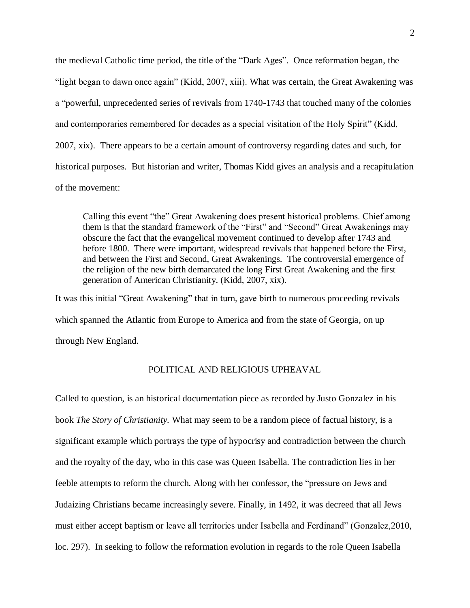the medieval Catholic time period, the title of the "Dark Ages". Once reformation began, the "light began to dawn once again" (Kidd, 2007, xiii). What was certain, the Great Awakening was a "powerful, unprecedented series of revivals from 1740-1743 that touched many of the colonies and contemporaries remembered for decades as a special visitation of the Holy Spirit" (Kidd, 2007, xix). There appears to be a certain amount of controversy regarding dates and such, for historical purposes. But historian and writer, Thomas Kidd gives an analysis and a recapitulation of the movement:

Calling this event "the" Great Awakening does present historical problems. Chief among them is that the standard framework of the "First" and "Second" Great Awakenings may obscure the fact that the evangelical movement continued to develop after 1743 and before 1800. There were important, widespread revivals that happened before the First, and between the First and Second, Great Awakenings. The controversial emergence of the religion of the new birth demarcated the long First Great Awakening and the first generation of American Christianity. (Kidd, 2007, xix).

It was this initial "Great Awakening" that in turn, gave birth to numerous proceeding revivals which spanned the Atlantic from Europe to America and from the state of Georgia, on up through New England.

# POLITICAL AND RELIGIOUS UPHEAVAL

Called to question, is an historical documentation piece as recorded by Justo Gonzalez in his book *The Story of Christianity.* What may seem to be a random piece of factual history, is a significant example which portrays the type of hypocrisy and contradiction between the church and the royalty of the day, who in this case was Queen Isabella. The contradiction lies in her feeble attempts to reform the church. Along with her confessor, the "pressure on Jews and Judaizing Christians became increasingly severe. Finally, in 1492, it was decreed that all Jews must either accept baptism or leave all territories under Isabella and Ferdinand" (Gonzalez,2010, loc. 297). In seeking to follow the reformation evolution in regards to the role Queen Isabella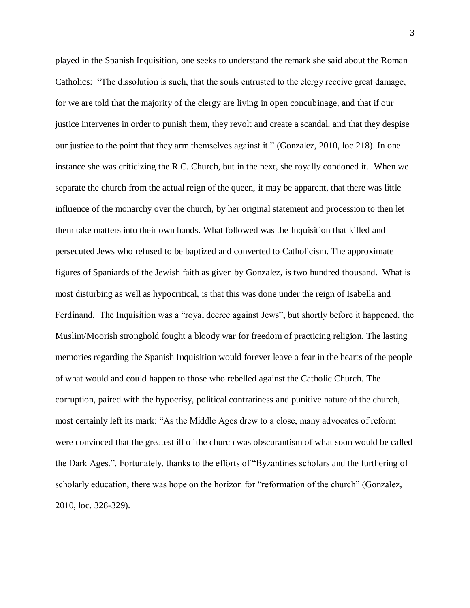played in the Spanish Inquisition, one seeks to understand the remark she said about the Roman Catholics: "The dissolution is such, that the souls entrusted to the clergy receive great damage, for we are told that the majority of the clergy are living in open concubinage, and that if our justice intervenes in order to punish them, they revolt and create a scandal, and that they despise our justice to the point that they arm themselves against it." (Gonzalez, 2010, loc 218). In one instance she was criticizing the R.C. Church, but in the next, she royally condoned it. When we separate the church from the actual reign of the queen, it may be apparent, that there was little influence of the monarchy over the church, by her original statement and procession to then let them take matters into their own hands. What followed was the Inquisition that killed and persecuted Jews who refused to be baptized and converted to Catholicism. The approximate figures of Spaniards of the Jewish faith as given by Gonzalez, is two hundred thousand. What is most disturbing as well as hypocritical, is that this was done under the reign of Isabella and Ferdinand. The Inquisition was a "royal decree against Jews", but shortly before it happened, the Muslim/Moorish stronghold fought a bloody war for freedom of practicing religion. The lasting memories regarding the Spanish Inquisition would forever leave a fear in the hearts of the people of what would and could happen to those who rebelled against the Catholic Church. The corruption, paired with the hypocrisy, political contrariness and punitive nature of the church, most certainly left its mark: "As the Middle Ages drew to a close, many advocates of reform were convinced that the greatest ill of the church was obscurantism of what soon would be called the Dark Ages.". Fortunately, thanks to the efforts of "Byzantines scholars and the furthering of scholarly education, there was hope on the horizon for "reformation of the church" (Gonzalez, 2010, loc. 328-329).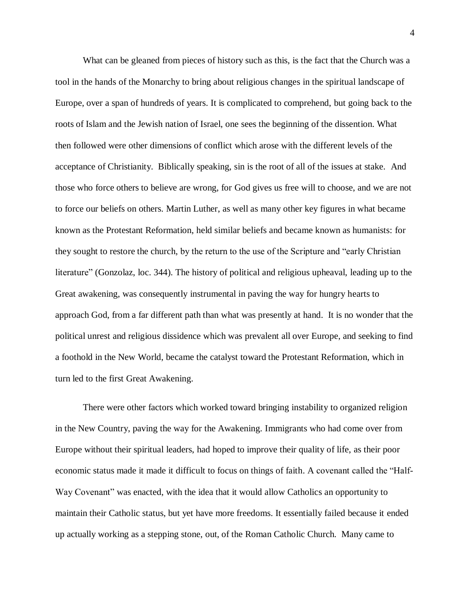What can be gleaned from pieces of history such as this, is the fact that the Church was a tool in the hands of the Monarchy to bring about religious changes in the spiritual landscape of Europe, over a span of hundreds of years. It is complicated to comprehend, but going back to the roots of Islam and the Jewish nation of Israel, one sees the beginning of the dissention. What then followed were other dimensions of conflict which arose with the different levels of the acceptance of Christianity. Biblically speaking, sin is the root of all of the issues at stake. And those who force others to believe are wrong, for God gives us free will to choose, and we are not to force our beliefs on others. Martin Luther, as well as many other key figures in what became known as the Protestant Reformation, held similar beliefs and became known as humanists: for they sought to restore the church, by the return to the use of the Scripture and "early Christian literature" (Gonzolaz, loc. 344). The history of political and religious upheaval, leading up to the Great awakening, was consequently instrumental in paving the way for hungry hearts to approach God, from a far different path than what was presently at hand. It is no wonder that the political unrest and religious dissidence which was prevalent all over Europe, and seeking to find a foothold in the New World, became the catalyst toward the Protestant Reformation, which in turn led to the first Great Awakening.

There were other factors which worked toward bringing instability to organized religion in the New Country, paving the way for the Awakening. Immigrants who had come over from Europe without their spiritual leaders, had hoped to improve their quality of life, as their poor economic status made it made it difficult to focus on things of faith. A covenant called the "Half-Way Covenant" was enacted, with the idea that it would allow Catholics an opportunity to maintain their Catholic status, but yet have more freedoms. It essentially failed because it ended up actually working as a stepping stone, out, of the Roman Catholic Church. Many came to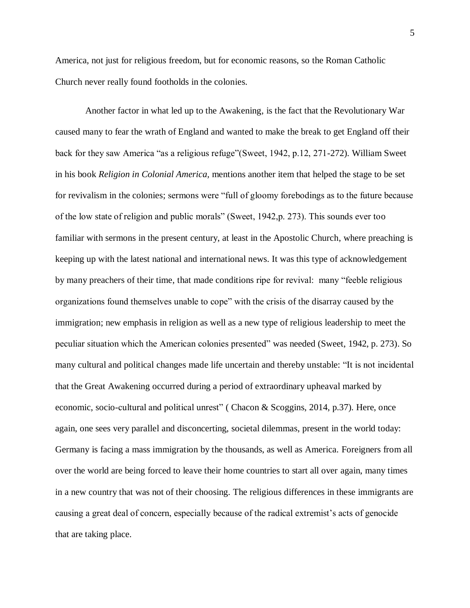America, not just for religious freedom, but for economic reasons, so the Roman Catholic Church never really found footholds in the colonies.

Another factor in what led up to the Awakening, is the fact that the Revolutionary War caused many to fear the wrath of England and wanted to make the break to get England off their back for they saw America "as a religious refuge"(Sweet, 1942, p.12, 271-272). William Sweet in his book *Religion in Colonial America,* mentions another item that helped the stage to be set for revivalism in the colonies; sermons were "full of gloomy forebodings as to the future because of the low state of religion and public morals" (Sweet, 1942,p. 273). This sounds ever too familiar with sermons in the present century, at least in the Apostolic Church, where preaching is keeping up with the latest national and international news. It was this type of acknowledgement by many preachers of their time, that made conditions ripe for revival: many "feeble religious organizations found themselves unable to cope" with the crisis of the disarray caused by the immigration; new emphasis in religion as well as a new type of religious leadership to meet the peculiar situation which the American colonies presented" was needed (Sweet, 1942, p. 273). So many cultural and political changes made life uncertain and thereby unstable: "It is not incidental that the Great Awakening occurred during a period of extraordinary upheaval marked by economic, socio-cultural and political unrest" ( Chacon & Scoggins, 2014, p.37). Here, once again, one sees very parallel and disconcerting, societal dilemmas, present in the world today: Germany is facing a mass immigration by the thousands, as well as America. Foreigners from all over the world are being forced to leave their home countries to start all over again, many times in a new country that was not of their choosing. The religious differences in these immigrants are causing a great deal of concern, especially because of the radical extremist's acts of genocide that are taking place.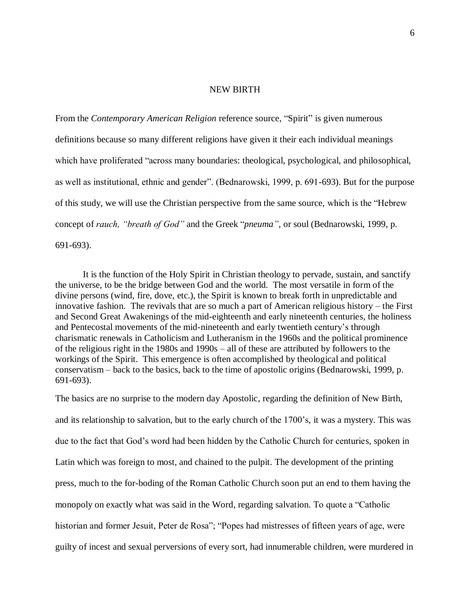#### NEW BIRTH

From the *Contemporary American Religion* reference source, "Spirit" is given numerous definitions because so many different religions have given it their each individual meanings which have proliferated "across many boundaries: theological, psychological, and philosophical, as well as institutional, ethnic and gender". (Bednarowski, 1999, p. 691-693). But for the purpose of this study, we will use the Christian perspective from the same source, which is the "Hebrew concept of *rauch, "breath of God"* and the Greek "*pneuma",* or soul (Bednarowski, 1999, p. 691-693).

It is the function of the Holy Spirit in Christian theology to pervade, sustain, and sanctify the universe, to be the bridge between God and the world. The most versatile in form of the divine persons (wind, fire, dove, etc.), the Spirit is known to break forth in unpredictable and innovative fashion. The revivals that are so much a part of American religious history – the First and Second Great Awakenings of the mid-eighteenth and early nineteenth centuries, the holiness and Pentecostal movements of the mid-nineteenth and early twentieth century's through charismatic renewals in Catholicism and Lutheranism in the 1960s and the political prominence of the religious right in the 1980s and 1990s – all of these are attributed by followers to the workings of the Spirit. This emergence is often accomplished by theological and political conservatism – back to the basics, back to the time of apostolic origins (Bednarowski, 1999, p. 691-693).

The basics are no surprise to the modern day Apostolic, regarding the definition of New Birth, and its relationship to salvation, but to the early church of the 1700's, it was a mystery. This was due to the fact that God's word had been hidden by the Catholic Church for centuries, spoken in Latin which was foreign to most, and chained to the pulpit. The development of the printing press, much to the for-boding of the Roman Catholic Church soon put an end to them having the monopoly on exactly what was said in the Word, regarding salvation. To quote a "Catholic historian and former Jesuit, Peter de Rosa"; "Popes had mistresses of fifteen years of age, were guilty of incest and sexual perversions of every sort, had innumerable children, were murdered in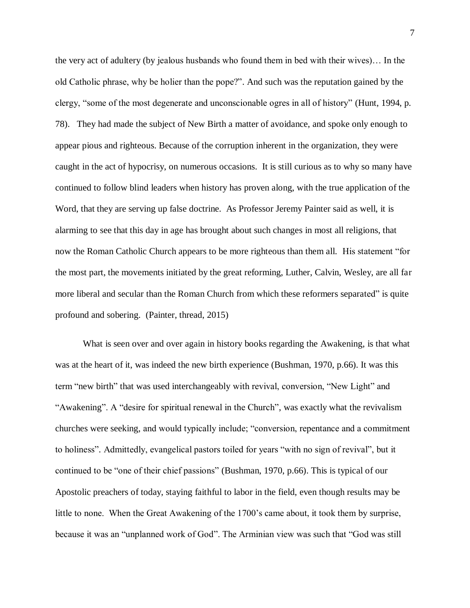the very act of adultery (by jealous husbands who found them in bed with their wives)… In the old Catholic phrase, why be holier than the pope?". And such was the reputation gained by the clergy, "some of the most degenerate and unconscionable ogres in all of history" (Hunt, 1994, p. 78). They had made the subject of New Birth a matter of avoidance, and spoke only enough to appear pious and righteous. Because of the corruption inherent in the organization, they were caught in the act of hypocrisy, on numerous occasions. It is still curious as to why so many have continued to follow blind leaders when history has proven along, with the true application of the Word, that they are serving up false doctrine. As Professor Jeremy Painter said as well, it is alarming to see that this day in age has brought about such changes in most all religions, that now the Roman Catholic Church appears to be more righteous than them all. His statement "for the most part, the movements initiated by the great reforming, Luther, Calvin, Wesley, are all far more liberal and secular than the Roman Church from which these reformers separated" is quite profound and sobering. (Painter, thread, 2015)

What is seen over and over again in history books regarding the Awakening, is that what was at the heart of it, was indeed the new birth experience (Bushman, 1970, p.66). It was this term "new birth" that was used interchangeably with revival, conversion, "New Light" and "Awakening". A "desire for spiritual renewal in the Church", was exactly what the revivalism churches were seeking, and would typically include; "conversion, repentance and a commitment to holiness". Admittedly, evangelical pastors toiled for years "with no sign of revival", but it continued to be "one of their chief passions" (Bushman, 1970, p.66). This is typical of our Apostolic preachers of today, staying faithful to labor in the field, even though results may be little to none. When the Great Awakening of the 1700's came about, it took them by surprise, because it was an "unplanned work of God". The Arminian view was such that "God was still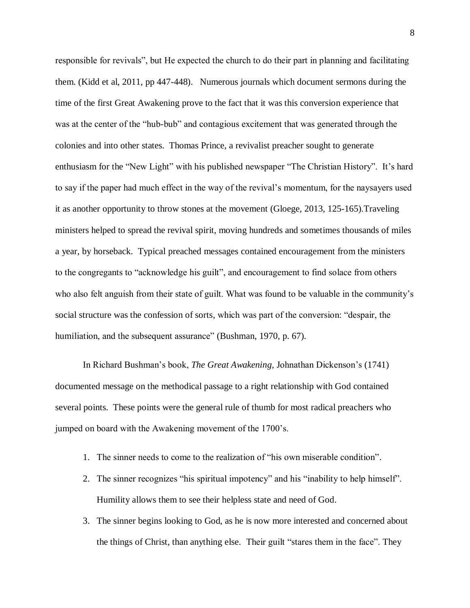responsible for revivals", but He expected the church to do their part in planning and facilitating them. (Kidd et al, 2011, pp 447-448). Numerous journals which document sermons during the time of the first Great Awakening prove to the fact that it was this conversion experience that was at the center of the "hub-bub" and contagious excitement that was generated through the colonies and into other states. Thomas Prince, a revivalist preacher sought to generate enthusiasm for the "New Light" with his published newspaper "The Christian History". It's hard to say if the paper had much effect in the way of the revival's momentum, for the naysayers used it as another opportunity to throw stones at the movement (Gloege, 2013, 125-165).Traveling ministers helped to spread the revival spirit, moving hundreds and sometimes thousands of miles a year, by horseback. Typical preached messages contained encouragement from the ministers to the congregants to "acknowledge his guilt", and encouragement to find solace from others who also felt anguish from their state of guilt. What was found to be valuable in the community's social structure was the confession of sorts, which was part of the conversion: "despair, the humiliation, and the subsequent assurance" (Bushman, 1970, p. 67).

In Richard Bushman's book, *The Great Awakening*, Johnathan Dickenson's (1741) documented message on the methodical passage to a right relationship with God contained several points. These points were the general rule of thumb for most radical preachers who jumped on board with the Awakening movement of the 1700's.

- 1. The sinner needs to come to the realization of "his own miserable condition".
- 2. The sinner recognizes "his spiritual impotency" and his "inability to help himself". Humility allows them to see their helpless state and need of God.
- 3. The sinner begins looking to God, as he is now more interested and concerned about the things of Christ, than anything else. Their guilt "stares them in the face". They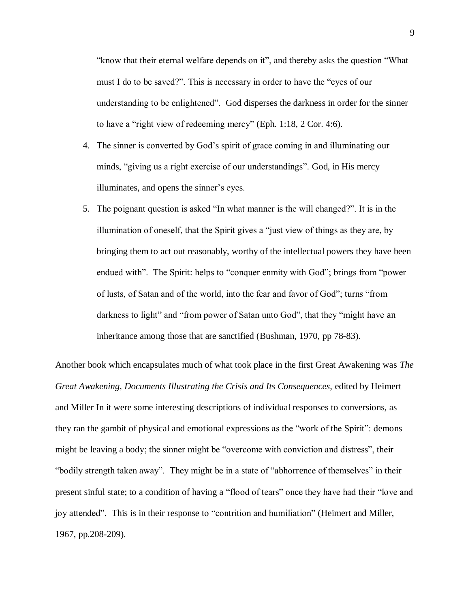"know that their eternal welfare depends on it", and thereby asks the question "What must I do to be saved?". This is necessary in order to have the "eyes of our understanding to be enlightened". God disperses the darkness in order for the sinner to have a "right view of redeeming mercy" (Eph. 1:18, 2 Cor. 4:6).

- 4. The sinner is converted by God's spirit of grace coming in and illuminating our minds, "giving us a right exercise of our understandings". God, in His mercy illuminates, and opens the sinner's eyes.
- 5. The poignant question is asked "In what manner is the will changed?". It is in the illumination of oneself, that the Spirit gives a "just view of things as they are, by bringing them to act out reasonably, worthy of the intellectual powers they have been endued with". The Spirit: helps to "conquer enmity with God"; brings from "power of lusts, of Satan and of the world, into the fear and favor of God"; turns "from darkness to light" and "from power of Satan unto God", that they "might have an inheritance among those that are sanctified (Bushman, 1970, pp 78-83).

Another book which encapsulates much of what took place in the first Great Awakening was *The Great Awakening, Documents Illustrating the Crisis and Its Consequences,* edited by Heimert and Miller In it were some interesting descriptions of individual responses to conversions, as they ran the gambit of physical and emotional expressions as the "work of the Spirit": demons might be leaving a body; the sinner might be "overcome with conviction and distress", their "bodily strength taken away". They might be in a state of "abhorrence of themselves" in their present sinful state; to a condition of having a "flood of tears" once they have had their "love and joy attended". This is in their response to "contrition and humiliation" (Heimert and Miller, 1967, pp.208-209).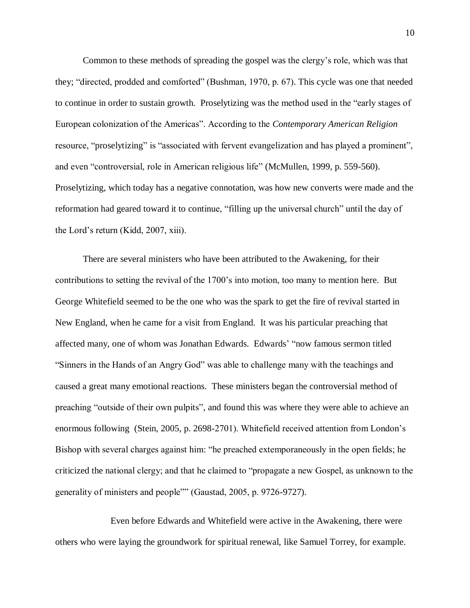Common to these methods of spreading the gospel was the clergy's role, which was that they; "directed, prodded and comforted" (Bushman, 1970, p. 67). This cycle was one that needed to continue in order to sustain growth. Proselytizing was the method used in the "early stages of European colonization of the Americas". According to the *Contemporary American Religion*  resource, "proselytizing" is "associated with fervent evangelization and has played a prominent", and even "controversial, role in American religious life" (McMullen, 1999, p. 559-560). Proselytizing, which today has a negative connotation, was how new converts were made and the reformation had geared toward it to continue, "filling up the universal church" until the day of the Lord's return (Kidd, 2007, xiii).

There are several ministers who have been attributed to the Awakening, for their contributions to setting the revival of the 1700's into motion, too many to mention here. But George Whitefield seemed to be the one who was the spark to get the fire of revival started in New England, when he came for a visit from England. It was his particular preaching that affected many, one of whom was Jonathan Edwards. Edwards' "now famous sermon titled "Sinners in the Hands of an Angry God" was able to challenge many with the teachings and caused a great many emotional reactions. These ministers began the controversial method of preaching "outside of their own pulpits", and found this was where they were able to achieve an enormous following (Stein, 2005, p. 2698-2701). Whitefield received attention from London's Bishop with several charges against him: "he preached extemporaneously in the open fields; he criticized the national clergy; and that he claimed to "propagate a new Gospel, as unknown to the generality of ministers and people"" (Gaustad, 2005, p. 9726-9727).

Even before Edwards and Whitefield were active in the Awakening, there were others who were laying the groundwork for spiritual renewal, like Samuel Torrey, for example.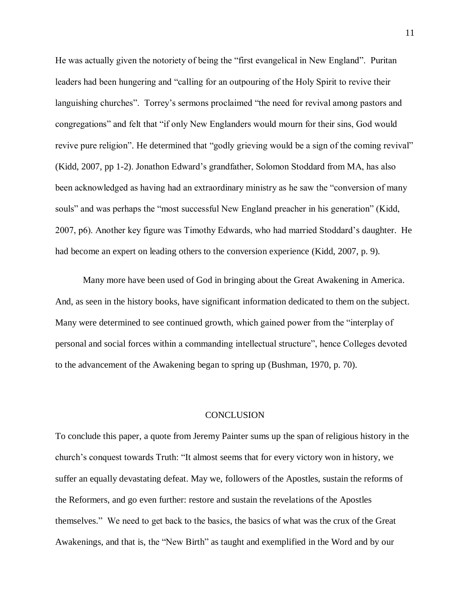He was actually given the notoriety of being the "first evangelical in New England". Puritan leaders had been hungering and "calling for an outpouring of the Holy Spirit to revive their languishing churches". Torrey's sermons proclaimed "the need for revival among pastors and congregations" and felt that "if only New Englanders would mourn for their sins, God would revive pure religion". He determined that "godly grieving would be a sign of the coming revival" (Kidd, 2007, pp 1-2). Jonathon Edward's grandfather, Solomon Stoddard from MA, has also been acknowledged as having had an extraordinary ministry as he saw the "conversion of many souls" and was perhaps the "most successful New England preacher in his generation" (Kidd, 2007, p6). Another key figure was Timothy Edwards, who had married Stoddard's daughter. He had become an expert on leading others to the conversion experience (Kidd, 2007, p. 9).

Many more have been used of God in bringing about the Great Awakening in America. And, as seen in the history books, have significant information dedicated to them on the subject. Many were determined to see continued growth, which gained power from the "interplay of personal and social forces within a commanding intellectual structure", hence Colleges devoted to the advancement of the Awakening began to spring up (Bushman, 1970, p. 70).

# **CONCLUSION**

To conclude this paper, a quote from Jeremy Painter sums up the span of religious history in the church's conquest towards Truth: "It almost seems that for every victory won in history, we suffer an equally devastating defeat. May we, followers of the Apostles, sustain the reforms of the Reformers, and go even further: restore and sustain the revelations of the Apostles themselves." We need to get back to the basics, the basics of what was the crux of the Great Awakenings, and that is, the "New Birth" as taught and exemplified in the Word and by our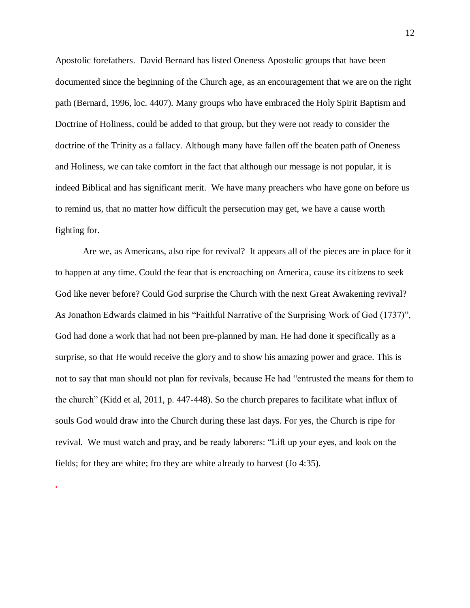Apostolic forefathers. David Bernard has listed Oneness Apostolic groups that have been documented since the beginning of the Church age, as an encouragement that we are on the right path (Bernard, 1996, loc. 4407). Many groups who have embraced the Holy Spirit Baptism and Doctrine of Holiness, could be added to that group, but they were not ready to consider the doctrine of the Trinity as a fallacy. Although many have fallen off the beaten path of Oneness and Holiness, we can take comfort in the fact that although our message is not popular, it is indeed Biblical and has significant merit. We have many preachers who have gone on before us to remind us, that no matter how difficult the persecution may get, we have a cause worth fighting for.

Are we, as Americans, also ripe for revival? It appears all of the pieces are in place for it to happen at any time. Could the fear that is encroaching on America, cause its citizens to seek God like never before? Could God surprise the Church with the next Great Awakening revival? As Jonathon Edwards claimed in his "Faithful Narrative of the Surprising Work of God (1737)", God had done a work that had not been pre-planned by man. He had done it specifically as a surprise, so that He would receive the glory and to show his amazing power and grace. This is not to say that man should not plan for revivals, because He had "entrusted the means for them to the church" (Kidd et al, 2011, p. 447-448). So the church prepares to facilitate what influx of souls God would draw into the Church during these last days. For yes, the Church is ripe for revival. We must watch and pray, and be ready laborers: "Lift up your eyes, and look on the fields; for they are white; fro they are white already to harvest (Jo 4:35).

**.**

12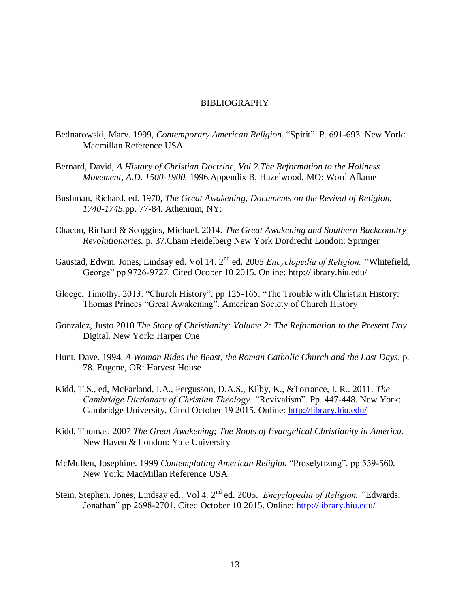## BIBLIOGRAPHY

- Bednarowski, Mary. 1999, *Contemporary American Religion.* "Spirit". P. 691-693. New York: Macmillan Reference USA
- Bernard, David, *A History of Christian Doctrine, Vol 2.The Reformation to the Holiness Movement, A.D. 1500-1900.* 1996*.*Appendix B, Hazelwood, MO: Word Aflame
- Bushman, Richard. ed. 1970, *The Great Awakening, Documents on the Revival of Religion, 1740-1745.*pp. 77-84. Athenium, NY:
- Chacon, Richard & Scoggins, Michael. 2014. *The Great Awakening and Southern Backcountry Revolutionaries.* p. 37.Cham Heidelberg New York Dordrecht London: Springer
- Gaustad, Edwin. Jones, Lindsay ed. Vol 14. 2nd ed. 2005 *Encyclopedia of Religion. "*Whitefield, George" pp 9726-9727. Cited Ocober 10 2015. Online: http://library.hiu.edu/
- Gloege, Timothy. 2013. "Church History", pp 125-165. "The Trouble with Christian History: Thomas Princes "Great Awakening". American Society of Church History
- Gonzalez, Justo.2010 *The Story of Christianity: Volume 2: The Reformation to the Present Day*. Digital. New York: Harper One
- Hunt, Dave. 1994. *A Woman Rides the Beast, the Roman Catholic Church and the Last Days*, p. 78. Eugene, OR: Harvest House
- Kidd, T.S., ed, McFarland, I.A., Fergusson, D.A.S., Kilby, K., &Torrance, I. R.. 2011. *The Cambridge Dictionary of Christian Theology. "*Revivalism". Pp. 447-448. New York: Cambridge University. Cited October 19 2015. Online: <http://library.hiu.edu/>
- Kidd, Thomas. 2007 *The Great Awakening; The Roots of Evangelical Christianity in America.*  New Haven & London: Yale University
- McMullen, Josephine. 1999 *Contemplating American Religion* "Proselytizing". pp 559-560. New York: MacMillan Reference USA
- Stein, Stephen. Jones, Lindsay ed.. Vol 4. 2nd ed. 2005. *Encyclopedia of Religion. "*Edwards, Jonathan" pp 2698-2701. Cited October 10 2015. Online: <http://library.hiu.edu/>